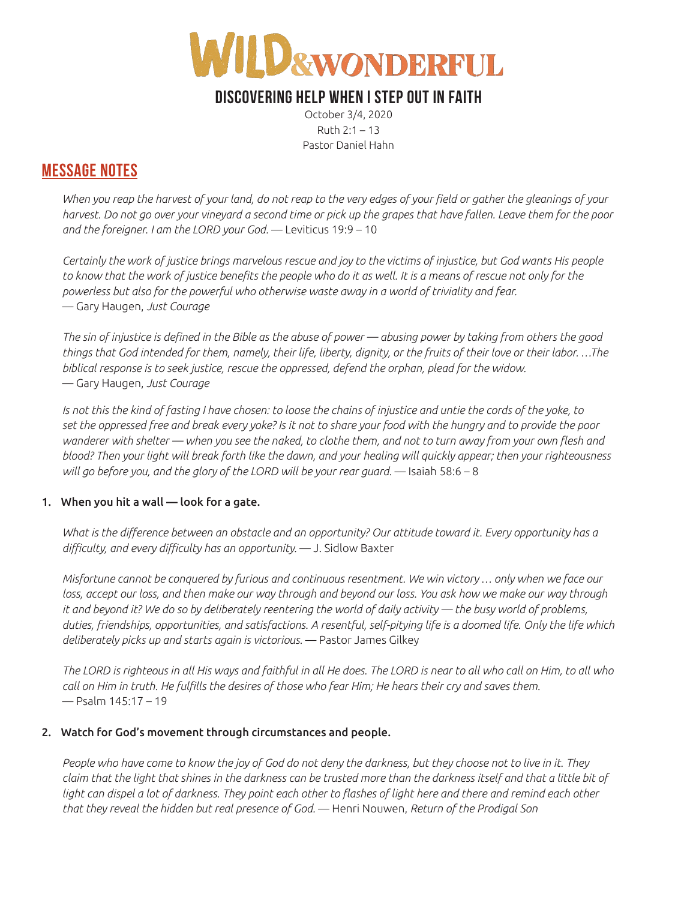

# **DISCOVERING HELP WHEN I STEP OUT IN FAITH**

October 3/4, 2020 Ruth 2:1 – 13 Pastor Daniel Hahn

## **MESSAGE NOTES**

*When you reap the harvest of your land, do not reap to the very edges of your field or gather the gleanings of your harvest. Do not go over your vineyard a second time or pick up the grapes that have fallen. Leave them for the poor and the foreigner. I am the LORD your God.* — Leviticus 19:9 – 10

*Certainly the work of justice brings marvelous rescue and joy to the victims of injustice, but God wants His people to know that the work of justice benefits the people who do it as well. It is a means of rescue not only for the powerless but also for the powerful who otherwise waste away in a world of triviality and fear.*  — Gary Haugen, *Just Courage*

*The sin of injustice is defined in the Bible as the abuse of power — abusing power by taking from others the good things that God intended for them, namely, their life, liberty, dignity, or the fruits of their love or their labor. …The biblical response is to seek justice, rescue the oppressed, defend the orphan, plead for the widow.*  — Gary Haugen, *Just Courage*

*Is not this the kind of fasting I have chosen: to loose the chains of injustice and untie the cords of the yoke, to set the oppressed free and break every yoke? Is it not to share your food with the hungry and to provide the poor wanderer with shelter — when you see the naked, to clothe them, and not to turn away from your own flesh and blood? Then your light will break forth like the dawn, and your healing will quickly appear; then your righteousness*  will go before you, and the glory of the LORD will be your rear guard. — Isaiah 58:6 - 8

### 1. When you hit a wall — look for a gate.

*What is the difference between an obstacle and an opportunity? Our attitude toward it. Every opportunity has a difficulty, and every difficulty has an opportunity.* — J. Sidlow Baxter

*Misfortune cannot be conquered by furious and continuous resentment. We win victory … only when we face our loss, accept our loss, and then make our way through and beyond our loss. You ask how we make our way through it and beyond it? We do so by deliberately reentering the world of daily activity — the busy world of problems, duties, friendships, opportunities, and satisfactions. A resentful, self-pitying life is a doomed life. Only the life which deliberately picks up and starts again is victorious.* — Pastor James Gilkey

*The LORD is righteous in all His ways and faithful in all He does. The LORD is near to all who call on Him, to all who call on Him in truth. He fulfills the desires of those who fear Him; He hears their cry and saves them.*  — Psalm 145:17 – 19

### 2. Watch for God's movement through circumstances and people.

*People who have come to know the joy of God do not deny the darkness, but they choose not to live in it. They claim that the light that shines in the darkness can be trusted more than the darkness itself and that a little bit of*  light can dispel a lot of darkness. They point each other to flashes of light here and there and remind each other *that they reveal the hidden but real presence of God.* — Henri Nouwen, *Return of the Prodigal Son*